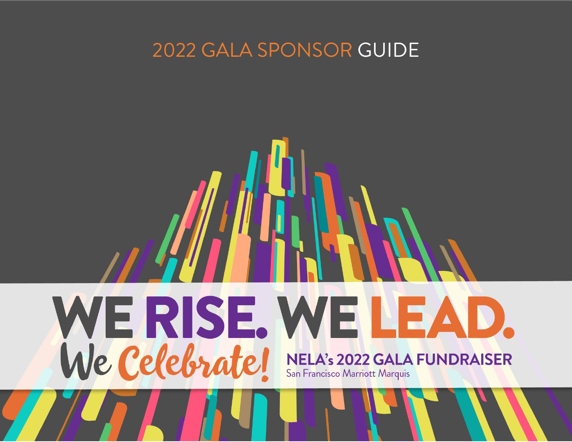### 2022 GALA SPONSOR GUIDE

## WERISE WELEAD. We Celebrate! **NELA's 2022 GALA FUNDRAISER** San Francisco Marriott Marquis

2022 Gala Sponsor Guide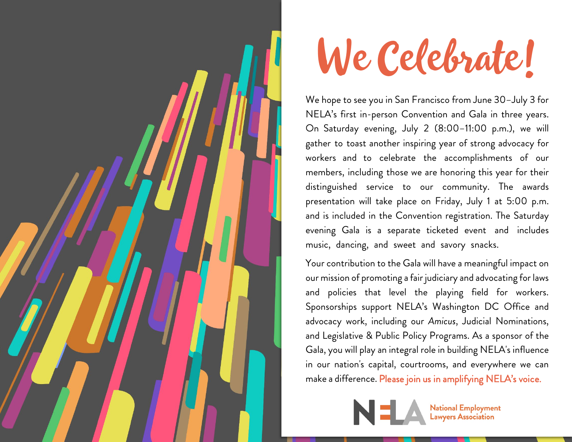

# We Celebrate!

We hope to see you in San Francisco from June 30–July 3 for NELA's first in-person Convention and Gala in three years. On Saturday evening, July 2 (8:00–11:00 p.m.), we will gather to toast another inspiring year of strong advocacy for workers and to celebrate the accomplishments of our members, including those we are honoring this year for their distinguished service to our community. The awards presentation will take place on Friday, July 1 at 5:00 p.m. and is included in the Convention registration. The Saturday evening Gala is a separate ticketed event and includes music, dancing, and sweet and savory snacks.

Your contribution to the Gala will have a meaningful impact on our mission of promoting a fair judiciary and advocating for laws and policies that level the playing field for workers. Sponsorships support NELA's Washington DC Office and advocacy work, including our *Amicus*, Judicial Nominations, and Legislative & Public Policy Programs. As a sponsor of the Gala, you will play an integral role in building NELA's influence in our nation's capital, courtrooms, and everywhere we can make a difference. Please join us in amplifying NELA's voice.



**National Employment**<br>Lawyers Association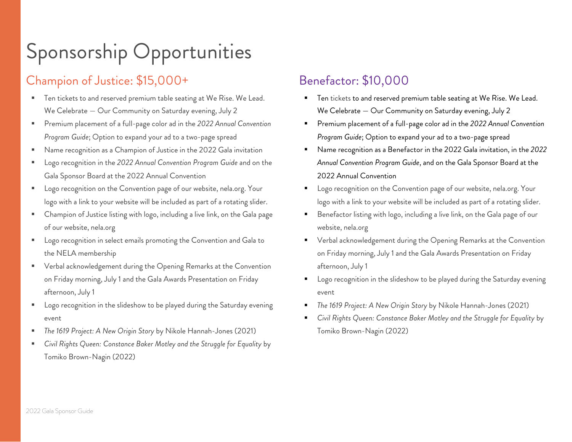## Sponsorship Opportunities

#### Champion of Justice: \$15,000+

- Ten tickets to and reserved premium table seating at We Rise. We Lead. We Celebrate — Our Community on Saturday evening, July 2
- Premium placement of a full-page color ad in the *2022 Annual Convention Program Guide*; Option to expand your ad to a two-page spread
- Name recognition as a Champion of Justice in the 2022 Gala invitation
- Logo recognition in the *2022 Annual Convention Program Guide* and on the Gala Sponsor Board at the 2022 Annual Convention
- **Logo recognition on the Convention page of our website, nela.org. Your** logo with a link to your website will be included as part of a rotating slider.
- Champion of Justice listing with logo, including a live link, on the Gala page of our website, nela.org
- Logo recognition in select emails promoting the Convention and Gala to the NELA membership
- Verbal acknowledgement during the Opening Remarks at the Convention on Friday morning, July 1 and the Gala Awards Presentation on Friday afternoon, July 1
- Logo recognition in the slideshow to be played during the Saturday evening event
- *The 1619 Project: A New Origin Story* by Nikole Hannah-Jones (2021)
- *Civil Rights Queen: Constance Baker Motley and the Struggle for Equality* by Tomiko Brown-Nagin (2022)

#### Benefactor: \$10,000

- Ten tickets to and reserved premium table seating at We Rise. We Lead. We Celebrate — Our Community on Saturday evening, July 2
- Premium placement of a full-page color ad in the *2022 Annual Convention Program Guide*; Option to expand your ad to a two-page spread
- Name recognition as a Benefactor in the 2022 Gala invitation, in the *2022 Annual Convention Program Guide*, and on the Gala Sponsor Board at the 2022 Annual Convention
- **E** Logo recognition on the Convention page of our website, nela.org. Your logo with a link to your website will be included as part of a rotating slider.
- Benefactor listing with logo, including a live link, on the Gala page of our website, nela.org
- **•** Verbal acknowledgement during the Opening Remarks at the Convention on Friday morning, July 1 and the Gala Awards Presentation on Friday afternoon, July 1
- Logo recognition in the slideshow to be played during the Saturday evening event
- *The 1619 Project: A New Origin Story* by Nikole Hannah-Jones (2021)
- *Civil Rights Queen: Constance Baker Motley and the Struggle for Equality* by Tomiko Brown-Nagin (2022)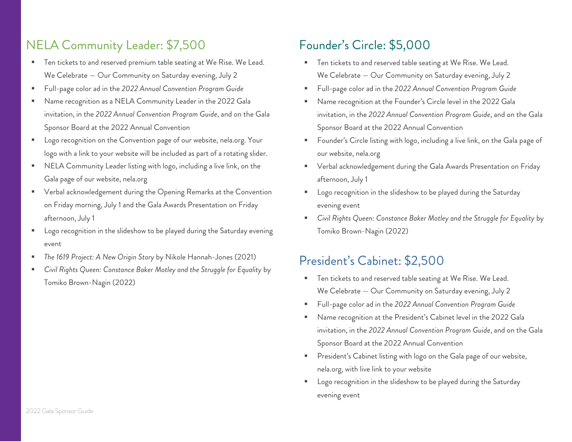#### NELA Community Leader: \$7,500

- Ten tickets to and reserved premium table seating at We Rise. We Lead. We Celebrate — Our Community on Saturday evening, July 2
- Full-page color ad in the *2022 Annual Convention Program Guide*
- Name recognition as a NELA Community Leader in the 2022 Gala invitation, in the *2022 Annual Convention Program Guide*, and on the Gala Sponsor Board at the 2022 Annual Convention
- Logo recognition on the Convention page of our website, nela.org. Your logo with a link to your website will be included as part of a rotating slider.
- NELA Community Leader listing with logo, including a live link, on the Gala page of our website, nela.org
- Verbal acknowledgement during the Opening Remarks at the Convention on Friday morning, July 1 and the Gala Awards Presentation on Friday afternoon, July 1
- Logo recognition in the slideshow to be played during the Saturday evening event
- *The 1619 Project: A New Origin Story* by Nikole Hannah-Jones (2021)
- *Civil Rights Queen: Constance Baker Motley and the Struggle for Equality* by Tomiko Brown-Nagin (2022)

#### Founder's Circle: \$5,000

- Ten tickets to and reserved table seating at We Rise. We Lead. We Celebrate — Our Community on Saturday evening, July 2
- Full-page color ad in the *2022 Annual Convention Program Guide*
- Name recognition at the Founder's Circle level in the 2022 Gala invitation, in the *2022 Annual Convention Program Guide*, and on the Gala Sponsor Board at the 2022 Annual Convention
- Founder's Circle listing with logo, including a live link, on the Gala page of our website, nela.org
- Verbal acknowledgement during the Gala Awards Presentation on Friday afternoon, July 1
- Logo recognition in the slideshow to be played during the Saturday evening event
- *Civil Rights Queen: Constance Baker Motley and the Struggle for Equality* by Tomiko Brown-Nagin (2022)

#### President's Cabinet: \$2,500

- Ten tickets to and reserved table seating at We Rise. We Lead. We Celebrate — Our Community on Saturday evening, July 2
- Full-page color ad in the *2022 Annual Convention Program Guide*
- Name recognition at the President's Cabinet level in the 2022 Gala invitation, in the *2022 Annual Convention Program Guide*, and on the Gala Sponsor Board at the 2022 Annual Convention
- President's Cabinet listing with logo on the Gala page of our website, nela.org, with live link to your website
- Logo recognition in the slideshow to be played during the Saturday evening event